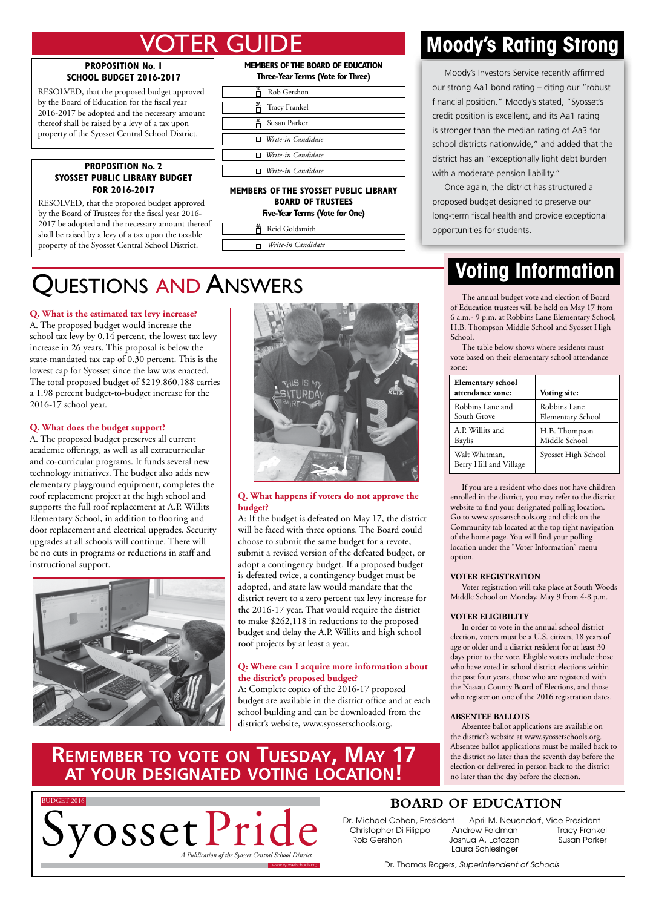## ER Gl

### **Proposition No. 1 School Budget 2016-2017**

RESOLVED, that the proposed budget approved by the Board of Education for the fiscal year 2016-2017 be adopted and the necessary amount thereof shall be raised by a levy of a tax upon property of the Syosset Central School District.

### **Proposition No. 2 Syosset public library budget for 2016-2017**

RESOLVED, that the proposed budget approved by the Board of Trustees for the fiscal year 2016- 2017 be adopted and the necessary amount thereof shall be raised by a levy of a tax upon the taxable property of the Syosset Central School District.

UESTIONS AND ANSWERS

**Q. What is the estimated tax levy increase?** A. The proposed budget would increase the school tax levy by 0.14 percent, the lowest tax levy increase in 26 years. This proposal is below the state-mandated tax cap of 0.30 percent. This is the lowest cap for Syosset since the law was enacted. The total proposed budget of \$219,860,188 carries a 1.98 percent budget-to-budget increase for the

2016-17 school year.

instructional support.

**Q. What does the budget support?**

A. The proposed budget preserves all current academic offerings, as well as all extracurricular and co-curricular programs. It funds several new technology initiatives. The budget also adds new elementary playground equipment, completes the roof replacement project at the high school and supports the full roof replacement at A.P. Willits Elementary School, in addition to flooring and door replacement and electrical upgrades. Security upgrades at all schools will continue. There will be no cuts in programs or reductions in staff and

### **Members of the board of education Three-Year Terms (Vote for Three)**

| 1Α<br>Rob Gershon         |
|---------------------------|
| 2A<br>Tracy Frankel       |
| ЗΑ<br>Susan Parker        |
| $\Box$ Write-in Candidate |
| $\Box$ Write-in Candidate |
| $\Box$ Write-in Candidate |
|                           |

### **Members of the syosset public library board of trustees**

**Five-Year Terms (Vote for One)**

| Reid Goldsmith     |
|--------------------|
|                    |
| Write-in Candidate |

### **Moody's Rating Strong**

 Moody's Investors Service recently affirmed our strong Aa1 bond rating – citing our "robust financial position." Moody's stated, "Syosset's credit position is excellent, and its Aa1 rating is stronger than the median rating of Aa3 for school districts nationwide," and added that the district has an "exceptionally light debt burden with a moderate pension liability."

 Once again, the district has structured a proposed budget designed to preserve our long-term fiscal health and provide exceptional opportunities for students.

## **Voting Information**

The annual budget vote and election of Board of Education trustees will be held on May 17 from 6 a.m.- 9 p.m. at Robbins Lane Elementary School, H.B. Thompson Middle School and Syosset High School.

The table below shows where residents must vote based on their elementary school attendance zone:

| <b>Elementary school</b><br>attendance zone: | Voting site:             |
|----------------------------------------------|--------------------------|
| Robbins Lane and                             | Robbins Lane             |
| South Grove                                  | <b>Elementary School</b> |
| A.P. Willits and                             | H.B. Thompson            |
| Baylis                                       | Middle School            |
| Walt Whitman,<br>Berry Hill and Village      | Syosset High School      |

If you are a resident who does not have children enrolled in the district, you may refer to the district website to find your designated polling location. Go to www.syossetschools.org and click on the Community tab located at the top right navigation of the home page. You will find your polling location under the "Voter Information" menu option.

### **Voter Registration**

Voter registration will take place at South Woods Middle School on Monday, May 9 from 4-8 p.m.

### **Voter Eligibility**

In order to vote in the annual school district election, voters must be a U.S. citizen, 18 years of age or older and a district resident for at least 30 days prior to the vote. Eligible voters include those who have voted in school district elections within the past four years, those who are registered with the Nassau County Board of Elections, and those who register on one of the 2016 registration dates.

### **Absentee Ballots**

*A Publication of the Syosset Central School District* no later than the day before the election. Absentee ballot applications are available on the district's website at www.syossetschools.org. Absentee ballot applications must be mailed back to the district no later than the seventh day before the election or delivered in person back to the district

### ww.syossetistops.org www.syossetistops.org www.syossetistops.org www.syossetistops.org www.syossetistops.org w **Remember to vote on Tuesday, May 17 at your designated voting location!**



### **board of education**

Dr. Michael Cohen, President Christopher Di Filippo Andrew Feldman Tracy Frankel Rob Gershon Joshua A. Lafazan Susan Parker

April M. Neuendorf, Vice President Laura Schlesinger

*A Publication of the Syosset Central School District*

www.syossetschools.org **www.syossetschools.org / www.syossetschools** / Dr. Thomas Rogers*, Superintendent of Schools* / **/ 2006** 



### **Q. What happens if voters do not approve the budget?**

A: If the budget is defeated on May 17, the district will be faced with three options. The Board could choose to submit the same budget for a revote, submit a revised version of the defeated budget, or adopt a contingency budget. If a proposed budget is defeated twice, a contingency budget must be adopted, and state law would mandate that the district revert to a zero percent tax levy increase for the 2016-17 year. That would require the district to make \$262,118 in reductions to the proposed budget and delay the A.P. Willits and high school roof projects by at least a year.

### **Q: Where can I acquire more information about the district's proposed budget?**

district's website, www.syossetschools.org. A: Complete copies of the 2016-17 proposed budget are available in the district office and at each school building and can be downloaded from the

# **System A PUBLICATE A PUBLICATE ON TUESDAY, MAY 17** Allow applications are available on<br> **A PUBLICATE ON TUESDAY, MAY 17** Allows the district is website at www.syossetschools.org.<br>
A POUR DESIGNATED VOTING LOCATION

 $F_{\rm eff}$  20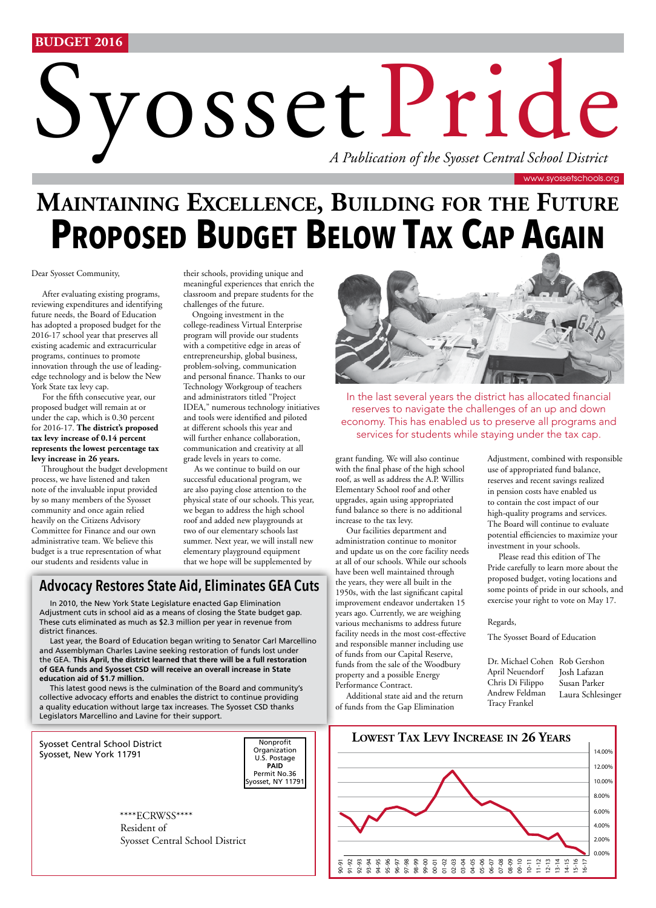### **BUDGET 2016**

# Syosset Pride Syosset Central School District

# **PROPOSED BUDGET BELOW TAX CAP AGAIN Maintaining Excellence, Building for the Future**

Dear Syosset Community,

 After evaluating existing programs, reviewing expenditures and identifying future needs, the Board of Education has adopted a proposed budget for the 2016-17 school year that preserves all existing academic and extracurricular programs, continues to promote innovation through the use of leadingedge technology and is below the New York State tax levy cap.

 For the fifth consecutive year, our proposed budget will remain at or under the cap, which is 0.30 percent for 2016-17. **The district's proposed tax levy increase of 0.14 percent represents the lowest percentage tax levy increase in 26 years.**

 Throughout the budget development process, we have listened and taken note of the invaluable input provided by so many members of the Syosset community and once again relied heavily on the Citizens Advisory Committee for Finance and our own administrative team. We believe this budget is a true representation of what our students and residents value in

their schools, providing unique and meaningful experiences that enrich the classroom and prepare students for the challenges of the future.

 Ongoing investment in the college-readiness Virtual Enterprise program will provide our students with a competitive edge in areas of entrepreneurship, global business, problem-solving, communication and personal finance. Thanks to our Technology Workgroup of teachers and administrators titled "Project IDEA," numerous technology initiatives and tools were identified and piloted at different schools this year and will further enhance collaboration, communication and creativity at all grade levels in years to come.

 As we continue to build on our successful educational program, we are also paying close attention to the physical state of our schools. This year, we began to address the high school roof and added new playgrounds at two of our elementary schools last summer. Next year, we will install new elementary playground equipment that we hope will be supplemented by

### **Advocacy Restores State Aid, Eliminates GEA Cuts**

In 2010, the New York State Legislature enacted Gap Elimination Adjustment cuts in school aid as a means of closing the State budget gap. These cuts eliminated as much as \$2.3 million per year in revenue from district finances.

Last year, the Board of Education began writing to Senator Carl Marcellino and Assemblyman Charles Lavine seeking restoration of funds lost under the GEA. **This April, the district learned that there will be a full restoration of GEA funds and Syosset CSD will receive an overall increase in State education aid of \$1.7 million.** 

This latest good news is the culmination of the Board and community's collective advocacy efforts and enables the district to continue providing a quality education without large tax increases. The Syosset CSD thanks Legislators Marcellino and Lavine for their support.





Resident of Syosset Central School District \*\*\*\*ECRWSS\*\*\*\*



In the last several years the district has allocated financial reserves to navigate the challenges of an up and down economy. This has enabled us to preserve all programs and services for students while staying under the tax cap.

grant funding. We will also continue with the final phase of the high school roof, as well as address the A.P. Willits Elementary School roof and other upgrades, again using appropriated fund balance so there is no additional increase to the tax levy.

 Our facilities department and administration continue to monitor and update us on the core facility needs at all of our schools. While our schools have been well maintained through the years, they were all built in the 1950s, with the last significant capital improvement endeavor undertaken 15 years ago. Currently, we are weighing various mechanisms to address future facility needs in the most cost-effective and responsible manner including use of funds from our Capital Reserve, funds from the sale of the Woodbury property and a possible Energy Performance Contract.

 Additional state aid and the return of funds from the Gap Elimination

use of appropriated fund balance, reserves and recent savings realized in pension costs have enabled us to contain the cost impact of our high-quality programs and services. The Board will continue to evaluate potential efficiencies to maximize your investment in your schools. Please read this edition of The

Adjustment, combined with responsible

Pride carefully to learn more about the proposed budget, voting locations and some points of pride in our schools, and exercise your right to vote on May 17.

Regards,

The Syosset Board of Education

Dr. Michael Cohen Rob Gershon April Neuendorf Chris Di Filippo Andrew Feldman Tracy Frankel Josh Lafazan Susan Parker Laura Schlesinger



www.syossetschools.org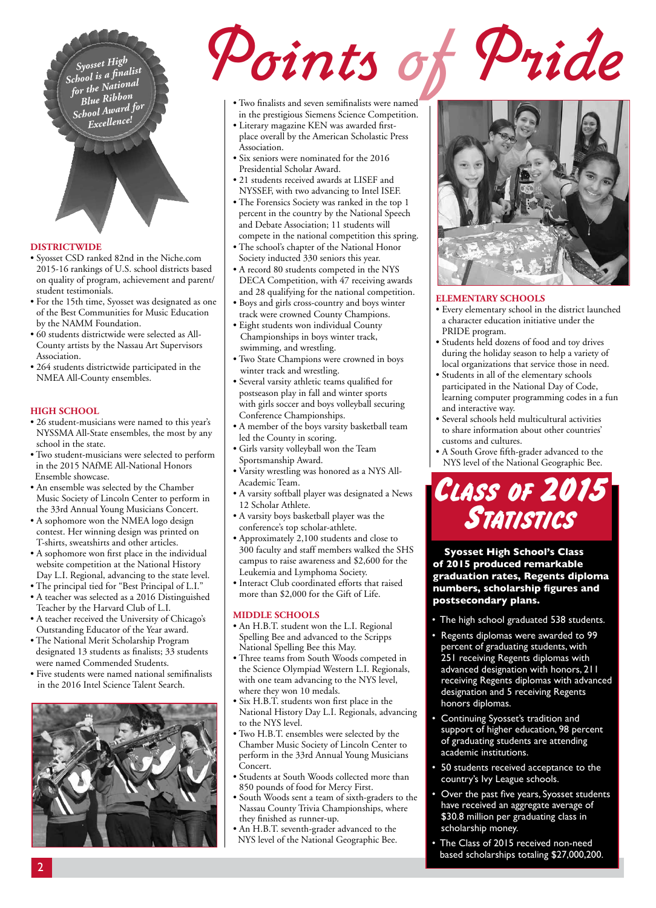*Syosset High School is a finalist for the National Blue Ribbon School Award for Excellence!*

# Two finalists and seven semifinalists were named<br>in the prestigious Siemens Science Competition.<br>Place overall by the American Scholastic Press<br>Association.

- Two finalists and seven semifinalists were named in the prestigious Siemens Science Competition.
- Literary magazine KEN was awarded firstplace overall by the American Scholastic Press Association.
- Six seniors were nominated for the 2016 Presidential Scholar Award.
- 21 students received awards at LISEF and NYSSEF, with two advancing to Intel ISEF.
- The Forensics Society was ranked in the top 1 percent in the country by the National Speech and Debate Association; 11 students will compete in the national competition this spring.
- The school's chapter of the National Honor Society inducted 330 seniors this year.
- A record 80 students competed in the NYS DECA Competition, with 47 receiving awards and 28 qualifying for the national competition.
- Boys and girls cross-country and boys winter track were crowned County Champions.
- Eight students won individual County Championships in boys winter track, swimming, and wrestling.
- Two State Champions were crowned in boys winter track and wrestling.
- Several varsity athletic teams qualified for postseason play in fall and winter sports with girls soccer and boys volleyball securing Conference Championships.
- A member of the boys varsity basketball team led the County in scoring.
- Girls varsity volleyball won the Team Sportsmanship Award.
- Varsity wrestling was honored as a NYS All-Academic Team.
- A varsity softball player was designated a News 12 Scholar Athlete.
- A varsity boys basketball player was the conference's top scholar-athlete.
- Approximately 2,100 students and close to 300 faculty and staff members walked the SHS campus to raise awareness and \$2,600 for the Leukemia and Lymphoma Society.
- Interact Club coordinated efforts that raised more than \$2,000 for the Gift of Life.

### **Middle Schools**

- An H.B.T. student won the L.I. Regional Spelling Bee and advanced to the Scripps National Spelling Bee this May.
- Three teams from South Woods competed in the Science Olympiad Western L.I. Regionals, with one team advancing to the NYS level, where they won 10 medals.
- Six H.B.T. students won first place in the National History Day L.I. Regionals, advancing to the NYS level.
- Two H.B.T. ensembles were selected by the Chamber Music Society of Lincoln Center to perform in the 33rd Annual Young Musicians Concert.
- Students at South Woods collected more than 850 pounds of food for Mercy First.
- South Woods sent a team of sixth-graders to the Nassau County Trivia Championships, where they finished as runner-up.
- An H.B.T. seventh-grader advanced to the NYS level of the National Geographic Bee.



### **Elementary Schools**

- Every elementary school in the district launched a character education initiative under the PRIDE program.
- Students held dozens of food and toy drives during the holiday season to help a variety of local organizations that service those in need.
- Students in all of the elementary schools participated in the National Day of Code, learning computer programming codes in a fun and interactive way.
- Several schools held multicultural activities to share information about other countries' customs and cultures.
- A South Grove fifth-grader advanced to the NYS level of the National Geographic Bee.

# Class of 2015 Statistics

**Syosset High School's Class of 2015 produced remarkable graduation rates, Regents diploma numbers, scholarship figures and postsecondary plans.**

- The high school graduated 538 students.
- Regents diplomas were awarded to 99 percent of graduating students, with 251 receiving Regents diplomas with advanced designation with honors, 211 receiving Regents diplomas with advanced designation and 5 receiving Regents honors diplomas.
- Continuing Syosset's tradition and support of higher education, 98 percent of graduating students are attending academic institutions.
- 50 students received acceptance to the country's Ivy League schools.
- Over the past five years, Syosset students have received an aggregate average of \$30.8 million per graduating class in scholarship money.
- The Class of 2015 received non-need based scholarships totaling \$27,000,200.

### **Districtwide**

- Syosset CSD ranked 82nd in the Niche.com 2015-16 rankings of U.S. school districts based on quality of program, achievement and parent/ student testimonials.
- For the 15th time, Syosset was designated as one of the Best Communities for Music Education by the NAMM Foundation.
- 60 students districtwide were selected as All-County artists by the Nassau Art Supervisors Association.
- 264 students districtwide participated in the NMEA All-County ensembles.

### **High School**

- 26 student-musicians were named to this year's NYSSMA All-State ensembles, the most by any school in the state.
- Two student-musicians were selected to perform in the 2015 NAfME All-National Honors Ensemble showcase.
- An ensemble was selected by the Chamber Music Society of Lincoln Center to perform in the 33rd Annual Young Musicians Concert.
- A sophomore won the NMEA logo design contest. Her winning design was printed on T-shirts, sweatshirts and other articles.
- A sophomore won first place in the individual website competition at the National History Day L.I. Regional, advancing to the state level.
- The principal tied for "Best Principal of L.I."
- A teacher was selected as a 2016 Distinguished Teacher by the Harvard Club of L.I.
- A teacher received the University of Chicago's Outstanding Educator of the Year award.
- The National Merit Scholarship Program designated 13 students as finalists; 33 students were named Commended Students.
- Five students were named national semifinalists in the 2016 Intel Science Talent Search.